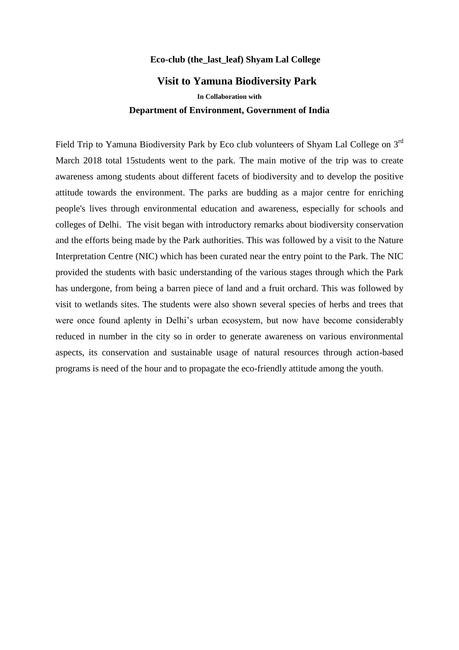## **Eco-club (the\_last\_leaf) Shyam Lal College**

## **Visit to Yamuna Biodiversity Park**

**In Collaboration with**

## Department of Environment, Government of India

Field Trip to Yamuna Biodiversity Park by Eco club volunteers of Shyam Lal College on 3<sup>rd</sup> March 2018 total 15students went to the park. The main motive of the trip was to create awareness among students about different facets of biodiversity and to develop the positive attitude towards the environment. The parks are budding as a major centre for enriching people's lives through environmental education and awareness, especially for schools and colleges of Delhi. The visit began with introductory remarks about biodiversity conservation and the efforts being made by the Park authorities. This was followed by a visit to the Nature Interpretation Centre (NIC) which has been curated near the entry point to the Park. The NIC provided the students with basic understanding of the various stages through which the Park has undergone, from being a barren piece of land and a fruit orchard. This was followed by visit to wetlands sites. The students were also shown several species of herbs and trees that were once found aplenty in Delhi's urban ecosystem, but now have become considerably reduced in number in the city so in order to generate awareness on various environmental aspects, its conservation and sustainable usage of natural resources through action-based programs is need of the hour and to propagate the eco-friendly attitude among the youth.